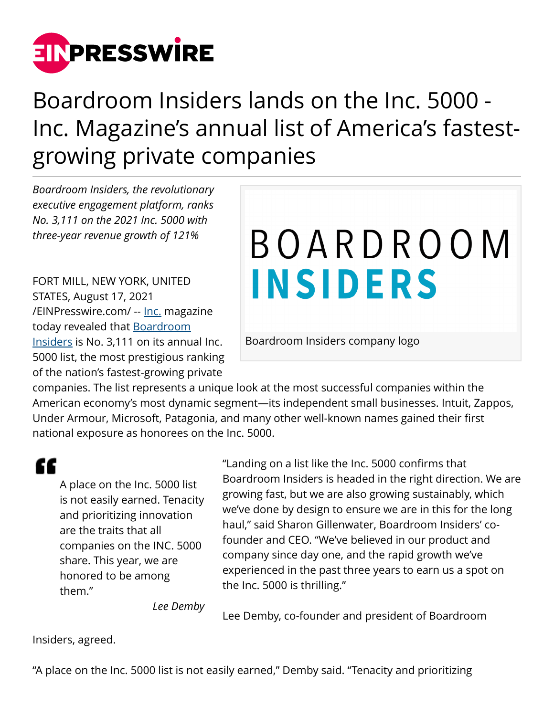

## Boardroom Insiders lands on the Inc. 5000 - Inc. Magazine's annual list of America's fastestgrowing private companies

*Boardroom Insiders, the revolutionary executive engagement platform, ranks No. 3,111 on the 2021 Inc. 5000 with three-year revenue growth of 121%*

FORT MILL, NEW YORK, UNITED STATES, August 17, 2021 [/EINPresswire.com/](http://www.einpresswire.com) -- [Inc.](https://www.inc.com/profile/boardroom-insiders) magazine today revealed that **Boardroom** [Insiders](http://www.boardroominsiders.com/) is No. 3,111 on its annual Inc. 5000 list, the most prestigious ranking of the nation's fastest-growing private

## BOARDROOM **INSIDERS**

Boardroom Insiders company logo

companies. The list represents a unique look at the most successful companies within the American economy's most dynamic segment—its independent small businesses. Intuit, Zappos, Under Armour, Microsoft, Patagonia, and many other well-known names gained their first national exposure as honorees on the Inc. 5000.

"

A place on the Inc. 5000 list is not easily earned. Tenacity and prioritizing innovation are the traits that all companies on the INC. 5000 share. This year, we are honored to be among them."

"Landing on a list like the Inc. 5000 confirms that Boardroom Insiders is headed in the right direction. We are growing fast, but we are also growing sustainably, which we've done by design to ensure we are in this for the long haul," said Sharon Gillenwater, Boardroom Insiders' cofounder and CEO. "We've believed in our product and company since day one, and the rapid growth we've experienced in the past three years to earn us a spot on the Inc. 5000 is thrilling."

*Lee Demby*

Lee Demby, co-founder and president of Boardroom

Insiders, agreed.

"A place on the Inc. 5000 list is not easily earned," Demby said. "Tenacity and prioritizing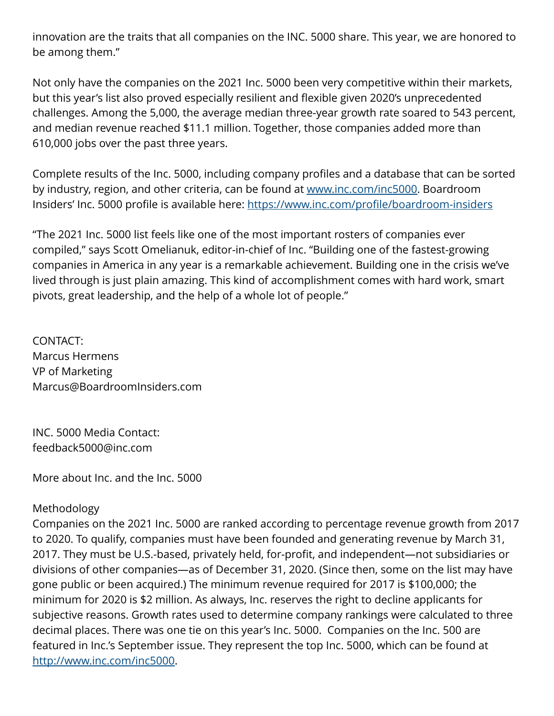innovation are the traits that all companies on the INC. 5000 share. This year, we are honored to be among them."

Not only have the companies on the 2021 Inc. 5000 been very competitive within their markets, but this year's list also proved especially resilient and flexible given 2020's unprecedented challenges. Among the 5,000, the average median three-year growth rate soared to 543 percent, and median revenue reached \$11.1 million. Together, those companies added more than 610,000 jobs over the past three years.

Complete results of the Inc. 5000, including company profiles and a database that can be sorted by industry, region, and other criteria, can be found at [www.inc.com/inc5000](http://www.inc.com/inc5000). Boardroom Insiders' Inc. 5000 profile is available here: <https://www.inc.com/profile/boardroom-insiders>

"The 2021 Inc. 5000 list feels like one of the most important rosters of companies ever compiled," says Scott Omelianuk, editor-in-chief of Inc. "Building one of the fastest-growing companies in America in any year is a remarkable achievement. Building one in the crisis we've lived through is just plain amazing. This kind of accomplishment comes with hard work, smart pivots, great leadership, and the help of a whole lot of people."

CONTACT: Marcus Hermens VP of Marketing Marcus@BoardroomInsiders.com

INC. 5000 Media Contact: feedback5000@inc.com

More about Inc. and the Inc. 5000

## Methodology

Companies on the 2021 Inc. 5000 are ranked according to percentage revenue growth from 2017 to 2020. To qualify, companies must have been founded and generating revenue by March 31, 2017. They must be U.S.-based, privately held, for-profit, and independent—not subsidiaries or divisions of other companies—as of December 31, 2020. (Since then, some on the list may have gone public or been acquired.) The minimum revenue required for 2017 is \$100,000; the minimum for 2020 is \$2 million. As always, Inc. reserves the right to decline applicants for subjective reasons. Growth rates used to determine company rankings were calculated to three decimal places. There was one tie on this year's Inc. 5000. Companies on the Inc. 500 are featured in Inc.'s September issue. They represent the top Inc. 5000, which can be found at <http://www.inc.com/inc5000>.